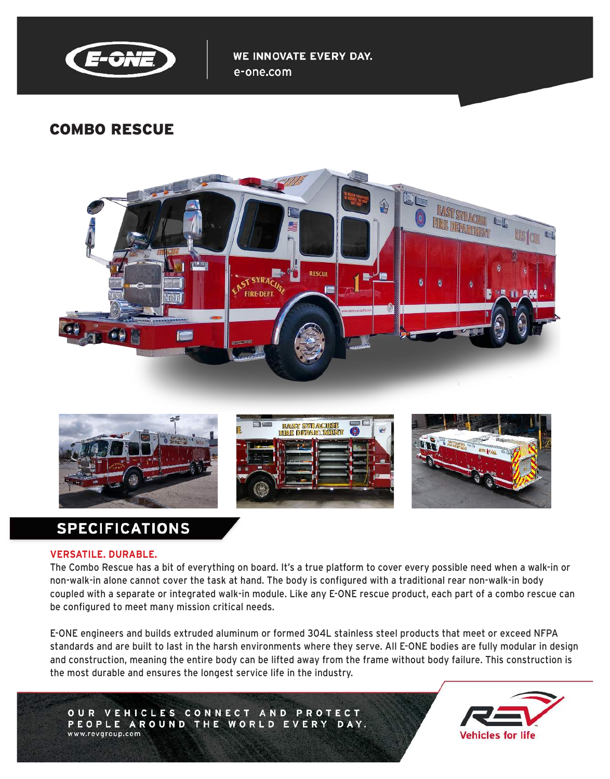

WE INNOVATE EVERY DAY. e-one.com

# COMBO RESCUE





# **SPECIFICATIONS**

#### **VERSATILE. DURABLE.**

The Combo Rescue has a bit of everything on board. It's a true platform to cover every possible need when a walk-in or non-walk-in alone cannot cover the task at hand. The body is configured with a traditional rear non-walk-in body coupled with a separate or integrated walk-in module. Like any E-ONE rescue product, each part of a combo rescue can be configured to meet many mission critical needs.

E-ONE engineers and builds extruded aluminum or formed 304L stainless steel products that meet or exceed NFPA standards and are built to last in the harsh environments where they serve. All E-ONE bodies are fully modular in design and construction, meaning the entire body can be lifted away from the frame without body failure. This construction is the most durable and ensures the longest service life in the industry.

OUR VEHICLES CONNECT AND PROTECT PEOPLE AROUND THE WORLD EVERY DAY. www.revgroup.com